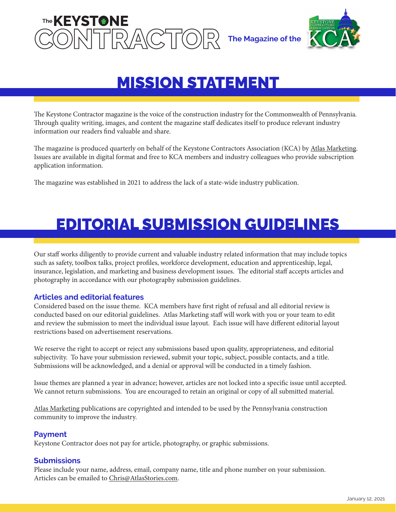



## MISSION STATEMENT

The Keystone Contractor magazine is the voice of the construction industry for the Commonwealth of Pennsylvania. Through quality writing, images, and content the magazine staff dedicates itself to produce relevant industry information our readers find valuable and share.

The magazine is produced quarterly on behalf of the Keystone Contractors Association (KCA) by [Atlas Marketing.](https://atlasstories.com/) Issues are available in digital format and free to KCA members and industry colleagues who provide subscription application information.

The magazine was established in 2021 to address the lack of a state-wide industry publication.

# EDITORIAL SUBMISSION GUIDELINES

Our staff works diligently to provide current and valuable industry related information that may include topics such as safety, toolbox talks, project profiles, workforce development, education and apprenticeship, legal, insurance, legislation, and marketing and business development issues. The editorial staff accepts articles and photography in accordance with our photography submission guidelines.

## **Articles and editorial features**

Considered based on the issue theme. KCA members have first right of refusal and all editorial review is conducted based on our editorial guidelines. Atlas Marketing staff will work with you or your team to edit and review the submission to meet the individual issue layout. Each issue will have different editorial layout restrictions based on advertisement reservations.

We reserve the right to accept or reject any submissions based upon quality, appropriateness, and editorial subjectivity. To have your submission reviewed, submit your topic, subject, possible contacts, and a title. Submissions will be acknowledged, and a denial or approval will be conducted in a timely fashion.

Issue themes are planned a year in advance; however, articles are not locked into a specific issue until accepted. We cannot return submissions. You are encouraged to retain an original or copy of all submitted material.

[Atlas Marketing](https://atlasstories.com/) publications are copyrighted and intended to be used by the Pennsylvania construction community to improve the industry.

#### **Payment**

Keystone Contractor does not pay for article, photography, or graphic submissions.

#### **Submissions**

Please include your name, address, email, company name, title and phone number on your submission. Articles can be emailed to [Chris@AtlasStories.com.](mailto:Chris%40AtlasStories.com?subject=)